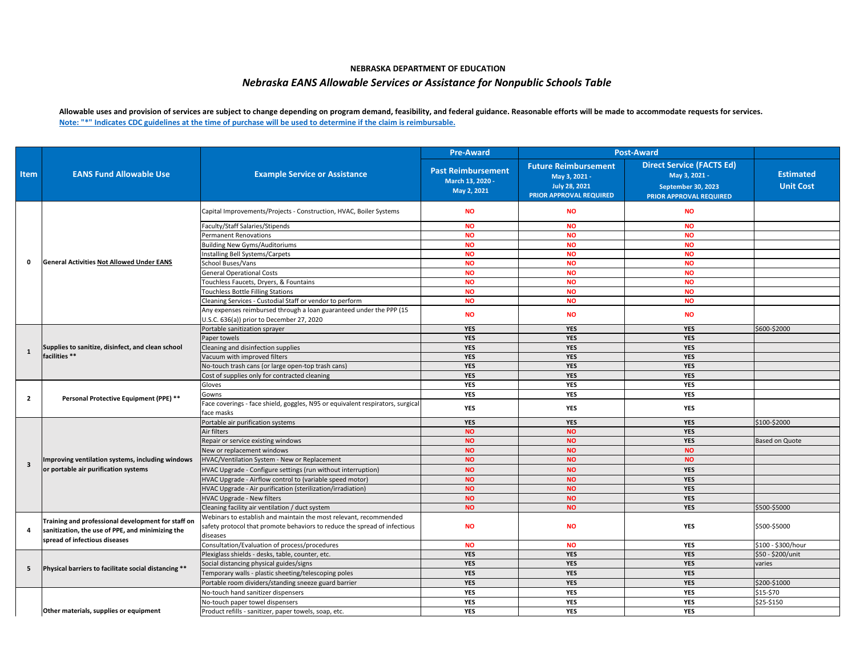| <b>Item</b>             | <b>EANS Fund Allowable Use</b>                                                                                                          | <b>Example Service or Assistance</b>                                                                             | <b>Pre-Award</b>                                             | <b>Post-Award</b>                                                                                      |                                                                                                           |                                      |
|-------------------------|-----------------------------------------------------------------------------------------------------------------------------------------|------------------------------------------------------------------------------------------------------------------|--------------------------------------------------------------|--------------------------------------------------------------------------------------------------------|-----------------------------------------------------------------------------------------------------------|--------------------------------------|
|                         |                                                                                                                                         |                                                                                                                  | <b>Past Reimbursement</b><br>March 13, 2020 -<br>May 2, 2021 | <b>Future Reimbursement</b><br>May 3, 2021 -<br><b>July 28, 2021</b><br><b>PRIOR APPROVAL REQUIRED</b> | <b>Direct Service (FACTS Ed)</b><br>May 3, 2021 -<br>September 30, 2023<br><b>PRIOR APPROVAL REQUIRED</b> | <b>Estimated</b><br><b>Unit Cost</b> |
|                         | <b>General Activities Not Allowed Under EANS</b>                                                                                        | Capital Improvements/Projects - Construction, HVAC, Boiler Systems                                               | <b>NO</b>                                                    | <b>NO</b>                                                                                              | <b>NO</b>                                                                                                 |                                      |
|                         |                                                                                                                                         | Faculty/Staff Salaries/Stipends                                                                                  | <b>NO</b>                                                    | <b>NO</b>                                                                                              | <b>NO</b>                                                                                                 |                                      |
| $\mathbf{0}$            |                                                                                                                                         | <b>Permanent Renovations</b>                                                                                     | <b>NO</b>                                                    | <b>NO</b>                                                                                              | <b>NO</b>                                                                                                 |                                      |
|                         |                                                                                                                                         | <b>Building New Gyms/Auditoriums</b>                                                                             | <b>NO</b>                                                    | <b>NO</b>                                                                                              | <b>NO</b>                                                                                                 |                                      |
|                         |                                                                                                                                         | Installing Bell Systems/Carpets                                                                                  | <b>NO</b>                                                    | <b>NO</b>                                                                                              | <b>NO</b>                                                                                                 |                                      |
|                         |                                                                                                                                         | School Buses/Vans                                                                                                | <b>NO</b>                                                    | <b>NO</b>                                                                                              | <b>NO</b>                                                                                                 |                                      |
|                         |                                                                                                                                         | <b>General Operational Costs</b>                                                                                 | <b>NO</b>                                                    | <b>NO</b>                                                                                              | <b>NO</b>                                                                                                 |                                      |
|                         |                                                                                                                                         | Touchless Faucets, Dryers, & Fountains                                                                           | <b>NO</b>                                                    | <b>NO</b>                                                                                              | <b>NO</b>                                                                                                 |                                      |
|                         |                                                                                                                                         | <b>Touchless Bottle Filling Stations</b>                                                                         | <b>NO</b>                                                    | <b>NO</b>                                                                                              | <b>NO</b>                                                                                                 |                                      |
|                         |                                                                                                                                         | Cleaning Services - Custodial Staff or vendor to perform                                                         | <b>NO</b>                                                    | <b>NO</b>                                                                                              | <b>NO</b>                                                                                                 |                                      |
|                         |                                                                                                                                         | Any expenses reimbursed through a loan guaranteed under the PPP (15<br>U.S.C. 636(a)) prior to December 27, 2020 | <b>NO</b>                                                    | <b>NO</b>                                                                                              | <b>NO</b>                                                                                                 |                                      |
|                         | Supplies to sanitize, disinfect, and clean school<br>facilities **                                                                      | Portable sanitization sprayer                                                                                    | <b>YES</b>                                                   | <b>YES</b>                                                                                             | <b>YES</b>                                                                                                | \$600-\$2000                         |
|                         |                                                                                                                                         | Paper towels                                                                                                     | <b>YES</b>                                                   | <b>YES</b>                                                                                             | <b>YES</b>                                                                                                |                                      |
|                         |                                                                                                                                         | Cleaning and disinfection supplies                                                                               | <b>YES</b>                                                   | <b>YES</b>                                                                                             | <b>YES</b>                                                                                                |                                      |
| 1                       |                                                                                                                                         | Vacuum with improved filters                                                                                     | <b>YES</b>                                                   | <b>YES</b>                                                                                             | <b>YES</b>                                                                                                |                                      |
|                         |                                                                                                                                         | No-touch trash cans (or large open-top trash cans)                                                               | <b>YES</b>                                                   | <b>YES</b>                                                                                             | <b>YES</b>                                                                                                |                                      |
|                         |                                                                                                                                         | Cost of supplies only for contracted cleaning                                                                    | <b>YES</b>                                                   | <b>YES</b>                                                                                             | <b>YES</b>                                                                                                |                                      |
|                         | <b>Personal Protective Equipment (PPE) **</b>                                                                                           | Gloves                                                                                                           | <b>YES</b>                                                   | <b>YES</b>                                                                                             | <b>YES</b>                                                                                                |                                      |
|                         |                                                                                                                                         | Gowns                                                                                                            | <b>YES</b>                                                   | <b>YES</b>                                                                                             | <b>YES</b>                                                                                                |                                      |
| $\overline{2}$          |                                                                                                                                         | Face coverings - face shield, goggles, N95 or equivalent respirators, surgical<br>face masks                     | <b>YES</b>                                                   | <b>YES</b>                                                                                             | <b>YES</b>                                                                                                |                                      |
|                         | Improving ventilation systems, including windows<br>or portable air purification systems                                                | Portable air purification systems                                                                                | <b>YES</b>                                                   | <b>YES</b>                                                                                             | <b>YES</b>                                                                                                | \$100-\$2000                         |
|                         |                                                                                                                                         | Air filters                                                                                                      | <b>NO</b>                                                    | <b>NO</b>                                                                                              | <b>YES</b>                                                                                                |                                      |
|                         |                                                                                                                                         | Repair or service existing windows                                                                               | <b>NO</b>                                                    | <b>NO</b>                                                                                              | <b>YES</b>                                                                                                | <b>Based on Quote</b>                |
|                         |                                                                                                                                         | New or replacement windows                                                                                       | <b>NO</b>                                                    | <b>NO</b>                                                                                              | <b>NO</b>                                                                                                 |                                      |
| $\overline{\mathbf{3}}$ |                                                                                                                                         | HVAC/Ventilation System - New or Replacement                                                                     | <b>NO</b>                                                    | <b>NO</b>                                                                                              | <b>NO</b>                                                                                                 |                                      |
|                         |                                                                                                                                         | HVAC Upgrade - Configure settings (run without interruption)                                                     | <b>NO</b>                                                    | <b>NO</b>                                                                                              | <b>YES</b>                                                                                                |                                      |
|                         |                                                                                                                                         | HVAC Upgrade - Airflow control to (variable speed motor)                                                         | <b>NO</b>                                                    | <b>NO</b>                                                                                              | <b>YES</b>                                                                                                |                                      |
|                         |                                                                                                                                         | HVAC Upgrade - Air purification (sterilization/irradiation)                                                      | <b>NO</b>                                                    | <b>NO</b>                                                                                              | <b>YES</b>                                                                                                |                                      |
|                         |                                                                                                                                         | <b>HVAC Upgrade - New filters</b>                                                                                | <b>NO</b>                                                    | <b>NO</b>                                                                                              | <b>YES</b>                                                                                                |                                      |
|                         |                                                                                                                                         | Cleaning facility air ventilation / duct system                                                                  | <b>NO</b>                                                    | <b>NO</b>                                                                                              | <b>YES</b>                                                                                                | \$500-\$5000                         |
| 4                       | Training and professional development for staff on<br>sanitization, the use of PPE, and minimizing the<br>spread of infectious diseases | Webinars to establish and maintain the most relevant, recommended                                                |                                                              |                                                                                                        |                                                                                                           |                                      |
|                         |                                                                                                                                         | safety protocol that promote behaviors to reduce the spread of infectious                                        | <b>NO</b>                                                    | <b>NO</b>                                                                                              | <b>YES</b>                                                                                                | \$500-\$5000                         |
|                         |                                                                                                                                         | diseases                                                                                                         |                                                              |                                                                                                        |                                                                                                           |                                      |
|                         |                                                                                                                                         | Consultation/Evaluation of process/procedures                                                                    | <b>NO</b>                                                    | <b>NO</b>                                                                                              | <b>YES</b>                                                                                                | \$100 - \$300/hour                   |
| -5                      | Physical barriers to facilitate social distancing **                                                                                    | Plexiglass shields - desks, table, counter, etc.                                                                 | <b>YES</b>                                                   | <b>YES</b>                                                                                             | <b>YES</b>                                                                                                | \$50 - \$200/unit                    |
|                         |                                                                                                                                         | Social distancing physical guides/signs                                                                          | <b>YES</b>                                                   | <b>YES</b>                                                                                             | <b>YES</b>                                                                                                | varies                               |
|                         |                                                                                                                                         | Temporary walls - plastic sheeting/telescoping poles                                                             | <b>YES</b>                                                   | <b>YES</b>                                                                                             | <b>YES</b>                                                                                                |                                      |
|                         |                                                                                                                                         | Portable room dividers/standing sneeze guard barrier                                                             | <b>YES</b>                                                   | <b>YES</b>                                                                                             | <b>YES</b>                                                                                                | \$200-\$1000                         |
|                         |                                                                                                                                         | No-touch hand sanitizer dispensers                                                                               | <b>YES</b>                                                   | <b>YES</b>                                                                                             | <b>YES</b>                                                                                                | \$15-\$70                            |
|                         |                                                                                                                                         | No-touch paper towel dispensers                                                                                  | <b>YES</b>                                                   | <b>YES</b>                                                                                             | <b>YES</b>                                                                                                | \$25-\$150                           |
|                         | Other materials, supplies or equipment                                                                                                  | Product refills - sanitizer, paper towels, soap, etc.                                                            | <b>YES</b>                                                   | <b>YES</b>                                                                                             | <b>YES</b>                                                                                                |                                      |

**Allowable uses and provision of services are subject to change depending on program demand, feasibility, and federal guidance. Reasonable efforts will be made to accommodate requests for services. Note: "\*" Indicates CDC guidelines at the time of purchase will be used to determine if the claim is reimbursable.**

## **NEBRASKA DEPARTMENT OF EDUCATION** *Nebraska EANS Allowable Services or Assistance for Nonpublic Schools Table*